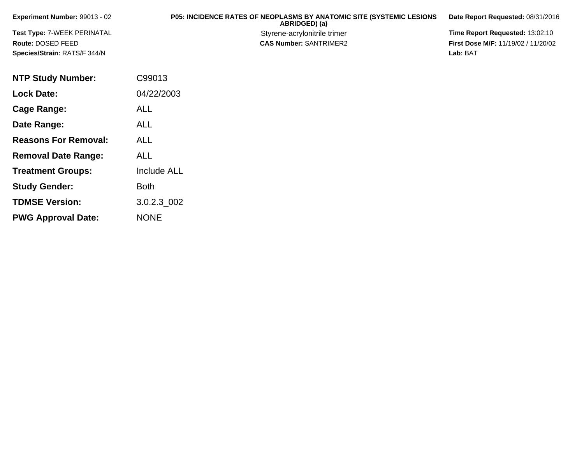| <b>Experiment Number: 99013 - 02</b> | <b>P05: INCIDENCE RATES OF NEOPLASMS BY ANATOMIC SITE (SYSTEMIC LESIONS)</b><br>ABRIDGED) (a) | Date Report Requested: 08/31/2016          |
|--------------------------------------|-----------------------------------------------------------------------------------------------|--------------------------------------------|
| Test Type: 7-WEEK PERINATAL          | Styrene-acrylonitrile trimer                                                                  | Time Report Requested: 13:02:10            |
| Route: DOSED FEED                    | <b>CAS Number: SANTRIMER2</b>                                                                 | <b>First Dose M/F: 11/19/02 / 11/20/02</b> |
| Species/Strain: RATS/F 344/N         |                                                                                               | Lab: BAT                                   |

| <b>NTP Study Number:</b>    | C99013             |
|-----------------------------|--------------------|
| <b>Lock Date:</b>           | 04/22/2003         |
| Cage Range:                 | <b>ALL</b>         |
| Date Range:                 | ALL                |
| <b>Reasons For Removal:</b> | ALL                |
| <b>Removal Date Range:</b>  | ALL                |
| <b>Treatment Groups:</b>    | <b>Include ALL</b> |
| <b>Study Gender:</b>        | Both               |
| <b>TDMSE Version:</b>       | 3.0.2.3 002        |
| <b>PWG Approval Date:</b>   | <b>NONE</b>        |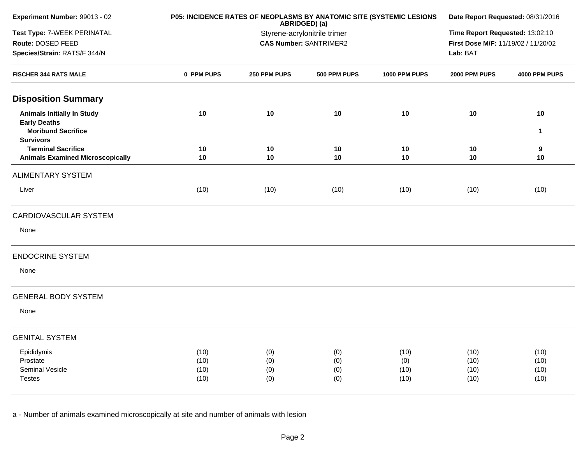| Experiment Number: 99013 - 02                 |            |                              | ABRIDGED) (a)                 | P05: INCIDENCE RATES OF NEOPLASMS BY ANATOMIC SITE (SYSTEMIC LESIONS | Date Report Requested: 08/31/2016 |                                     |  |  |
|-----------------------------------------------|------------|------------------------------|-------------------------------|----------------------------------------------------------------------|-----------------------------------|-------------------------------------|--|--|
| Test Type: 7-WEEK PERINATAL                   |            | Styrene-acrylonitrile trimer |                               |                                                                      |                                   | Time Report Requested: 13:02:10     |  |  |
| Route: DOSED FEED                             |            |                              | <b>CAS Number: SANTRIMER2</b> |                                                                      |                                   | First Dose M/F: 11/19/02 / 11/20/02 |  |  |
| Species/Strain: RATS/F 344/N                  |            |                              |                               |                                                                      | Lab: BAT                          |                                     |  |  |
| <b>FISCHER 344 RATS MALE</b>                  | 0_PPM PUPS | 250 PPM PUPS                 | 500 PPM PUPS                  | 1000 PPM PUPS                                                        | 2000 PPM PUPS                     | 4000 PPM PUPS                       |  |  |
| <b>Disposition Summary</b>                    |            |                              |                               |                                                                      |                                   |                                     |  |  |
| <b>Animals Initially In Study</b>             | 10         | 10                           | 10                            | 10                                                                   | 10                                | 10                                  |  |  |
| <b>Early Deaths</b>                           |            |                              |                               |                                                                      |                                   |                                     |  |  |
| <b>Moribund Sacrifice</b>                     |            |                              |                               |                                                                      |                                   | 1                                   |  |  |
| <b>Survivors</b><br><b>Terminal Sacrifice</b> | 10         | 10                           | 10                            | 10                                                                   | 10                                | 9                                   |  |  |
| <b>Animals Examined Microscopically</b>       | 10         | $10$                         | 10                            | 10                                                                   | 10                                | 10                                  |  |  |
| <b>ALIMENTARY SYSTEM</b>                      |            |                              |                               |                                                                      |                                   |                                     |  |  |
| Liver                                         | (10)       | (10)                         | (10)                          | (10)                                                                 | (10)                              | (10)                                |  |  |
| CARDIOVASCULAR SYSTEM                         |            |                              |                               |                                                                      |                                   |                                     |  |  |
| None                                          |            |                              |                               |                                                                      |                                   |                                     |  |  |
| <b>ENDOCRINE SYSTEM</b>                       |            |                              |                               |                                                                      |                                   |                                     |  |  |
| None                                          |            |                              |                               |                                                                      |                                   |                                     |  |  |
| <b>GENERAL BODY SYSTEM</b>                    |            |                              |                               |                                                                      |                                   |                                     |  |  |
| None                                          |            |                              |                               |                                                                      |                                   |                                     |  |  |
| <b>GENITAL SYSTEM</b>                         |            |                              |                               |                                                                      |                                   |                                     |  |  |
| Epididymis                                    | (10)       | (0)                          | (0)                           | (10)                                                                 | (10)                              | (10)                                |  |  |
| Prostate                                      | (10)       | (0)                          | (0)                           | (0)                                                                  | (10)                              | (10)                                |  |  |
| Seminal Vesicle                               | (10)       | (0)                          | (0)                           | (10)                                                                 | (10)                              | (10)                                |  |  |
| <b>Testes</b>                                 | (10)       | (0)                          | (0)                           | (10)                                                                 | (10)                              | (10)                                |  |  |
|                                               |            |                              |                               |                                                                      |                                   |                                     |  |  |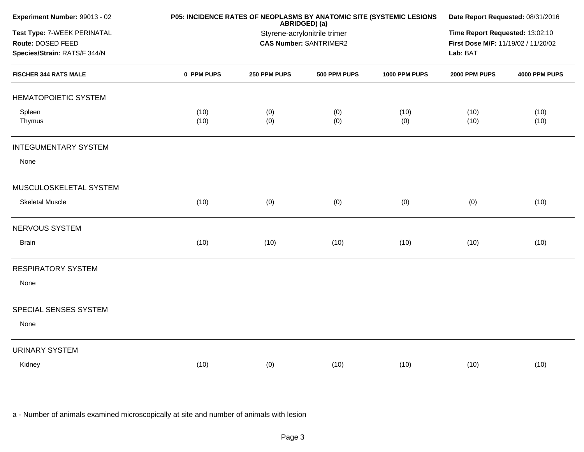| Experiment Number: 99013 - 02 |            | P05: INCIDENCE RATES OF NEOPLASMS BY ANATOMIC SITE (SYSTEMIC LESIONS | ABRIDGED) (a)                   |               | Date Report Requested: 08/31/2016   |               |  |  |
|-------------------------------|------------|----------------------------------------------------------------------|---------------------------------|---------------|-------------------------------------|---------------|--|--|
| Test Type: 7-WEEK PERINATAL   |            | Styrene-acrylonitrile trimer                                         | Time Report Requested: 13:02:10 |               |                                     |               |  |  |
| Route: DOSED FEED             |            |                                                                      | <b>CAS Number: SANTRIMER2</b>   |               | First Dose M/F: 11/19/02 / 11/20/02 |               |  |  |
| Species/Strain: RATS/F 344/N  |            |                                                                      | Lab: BAT                        |               |                                     |               |  |  |
| <b>FISCHER 344 RATS MALE</b>  | 0_PPM PUPS | 250 PPM PUPS                                                         | 500 PPM PUPS                    | 1000 PPM PUPS | 2000 PPM PUPS                       | 4000 PPM PUPS |  |  |
| <b>HEMATOPOIETIC SYSTEM</b>   |            |                                                                      |                                 |               |                                     |               |  |  |
| Spleen                        | (10)       | (0)                                                                  | (0)                             | (10)          | (10)                                | (10)          |  |  |
| Thymus                        | (10)       | (0)                                                                  | (0)                             | (0)           | (10)                                | (10)          |  |  |
| <b>INTEGUMENTARY SYSTEM</b>   |            |                                                                      |                                 |               |                                     |               |  |  |
| None                          |            |                                                                      |                                 |               |                                     |               |  |  |
| MUSCULOSKELETAL SYSTEM        |            |                                                                      |                                 |               |                                     |               |  |  |
| <b>Skeletal Muscle</b>        | (10)       | (0)                                                                  | (0)                             | (0)           | (0)                                 | (10)          |  |  |
| NERVOUS SYSTEM                |            |                                                                      |                                 |               |                                     |               |  |  |
| <b>Brain</b>                  | (10)       | (10)                                                                 | (10)                            | (10)          | (10)                                | (10)          |  |  |
| <b>RESPIRATORY SYSTEM</b>     |            |                                                                      |                                 |               |                                     |               |  |  |
| None                          |            |                                                                      |                                 |               |                                     |               |  |  |
| SPECIAL SENSES SYSTEM         |            |                                                                      |                                 |               |                                     |               |  |  |
| None                          |            |                                                                      |                                 |               |                                     |               |  |  |
| <b>URINARY SYSTEM</b>         |            |                                                                      |                                 |               |                                     |               |  |  |
| Kidney                        | (10)       | (0)                                                                  | (10)                            | (10)          | (10)                                | (10)          |  |  |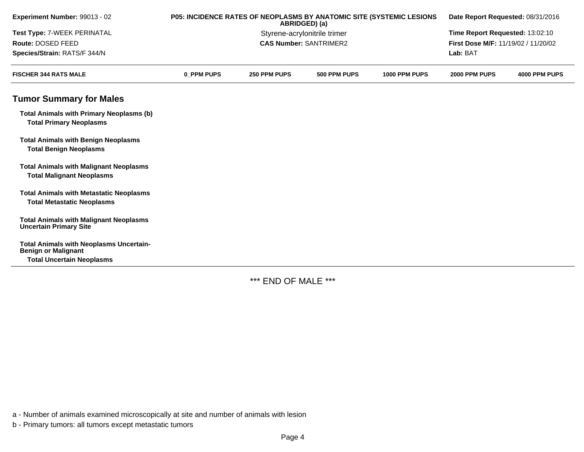| Experiment Number: 99013 - 02                                                       |            | P05: INCIDENCE RATES OF NEOPLASMS BY ANATOMIC SITE (SYSTEMIC LESIONS<br>ABRIDGED) (a) | Date Report Requested: 08/31/2016 |               |                                     |               |  |
|-------------------------------------------------------------------------------------|------------|---------------------------------------------------------------------------------------|-----------------------------------|---------------|-------------------------------------|---------------|--|
| Test Type: 7-WEEK PERINATAL                                                         |            | Styrene-acrylonitrile trimer                                                          | Time Report Requested: 13:02:10   |               |                                     |               |  |
| Route: DOSED FEED                                                                   |            |                                                                                       | <b>CAS Number: SANTRIMER2</b>     |               | First Dose M/F: 11/19/02 / 11/20/02 |               |  |
| Species/Strain: RATS/F 344/N                                                        |            |                                                                                       |                                   |               | Lab: BAT                            |               |  |
| <b>FISCHER 344 RATS MALE</b>                                                        | 0 PPM PUPS | 250 PPM PUPS                                                                          | 500 PPM PUPS                      | 1000 PPM PUPS | 2000 PPM PUPS                       | 4000 PPM PUPS |  |
| <b>Tumor Summary for Males</b>                                                      |            |                                                                                       |                                   |               |                                     |               |  |
| <b>Total Animals with Primary Neoplasms (b)</b><br><b>Total Primary Neoplasms</b>   |            |                                                                                       |                                   |               |                                     |               |  |
| <b>Total Animals with Benign Neoplasms</b><br><b>Total Benign Neoplasms</b>         |            |                                                                                       |                                   |               |                                     |               |  |
| <b>Total Animals with Malignant Neoplasms</b><br><b>Total Malignant Neoplasms</b>   |            |                                                                                       |                                   |               |                                     |               |  |
| <b>Total Animals with Metastatic Neoplasms</b><br><b>Total Metastatic Neoplasms</b> |            |                                                                                       |                                   |               |                                     |               |  |
| <b>Total Animals with Malignant Neoplasms</b><br><b>Uncertain Primary Site</b>      |            |                                                                                       |                                   |               |                                     |               |  |
| <b>Total Animals with Neoplasms Uncertain-</b><br><b>Benign or Malignant</b>        |            |                                                                                       |                                   |               |                                     |               |  |
| <b>Total Uncertain Neoplasms</b>                                                    |            |                                                                                       |                                   |               |                                     |               |  |

\*\*\* END OF MALE \*\*\*

a - Number of animals examined microscopically at site and number of animals with lesion

b - Primary tumors: all tumors except metastatic tumors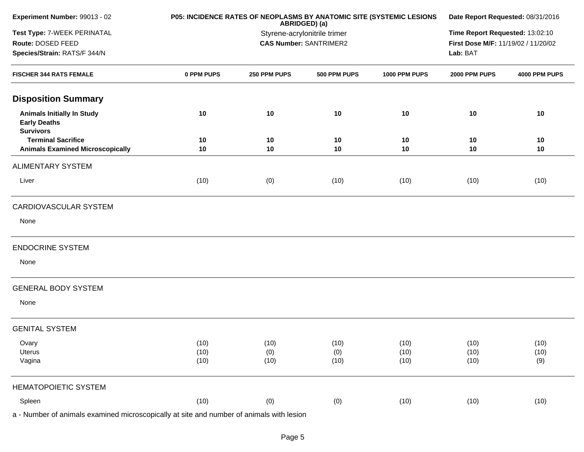| Experiment Number: 99013 - 02                                                |            | P05: INCIDENCE RATES OF NEOPLASMS BY ANATOMIC SITE (SYSTEMIC LESIONS<br>Date Report Requested: 08/31/2016<br>ABRIDGED) (a)<br>Time Report Requested: 13:02:10<br>Styrene-acrylonitrile trimer |                               |               |                                     |               |
|------------------------------------------------------------------------------|------------|-----------------------------------------------------------------------------------------------------------------------------------------------------------------------------------------------|-------------------------------|---------------|-------------------------------------|---------------|
| Test Type: 7-WEEK PERINATAL                                                  |            |                                                                                                                                                                                               |                               |               |                                     |               |
| Route: DOSED FEED                                                            |            |                                                                                                                                                                                               | <b>CAS Number: SANTRIMER2</b> |               | First Dose M/F: 11/19/02 / 11/20/02 |               |
| Species/Strain: RATS/F 344/N                                                 |            |                                                                                                                                                                                               |                               |               | Lab: BAT                            |               |
| <b>FISCHER 344 RATS FEMALE</b>                                               | 0 PPM PUPS | 250 PPM PUPS                                                                                                                                                                                  | 500 PPM PUPS                  | 1000 PPM PUPS | 2000 PPM PUPS                       | 4000 PPM PUPS |
| <b>Disposition Summary</b>                                                   |            |                                                                                                                                                                                               |                               |               |                                     |               |
| <b>Animals Initially In Study</b><br><b>Early Deaths</b><br><b>Survivors</b> | 10         | 10                                                                                                                                                                                            | 10                            | 10            | 10                                  | 10            |
| <b>Terminal Sacrifice</b>                                                    | 10         | 10                                                                                                                                                                                            | 10                            | 10            | 10                                  | 10            |
| <b>Animals Examined Microscopically</b>                                      | 10         | 10                                                                                                                                                                                            | 10                            | 10            | 10                                  | 10            |
| <b>ALIMENTARY SYSTEM</b>                                                     |            |                                                                                                                                                                                               |                               |               |                                     |               |
| Liver                                                                        | (10)       | (0)                                                                                                                                                                                           | (10)                          | (10)          | (10)                                | (10)          |
| CARDIOVASCULAR SYSTEM                                                        |            |                                                                                                                                                                                               |                               |               |                                     |               |
| None                                                                         |            |                                                                                                                                                                                               |                               |               |                                     |               |
| <b>ENDOCRINE SYSTEM</b>                                                      |            |                                                                                                                                                                                               |                               |               |                                     |               |
| None                                                                         |            |                                                                                                                                                                                               |                               |               |                                     |               |
| <b>GENERAL BODY SYSTEM</b>                                                   |            |                                                                                                                                                                                               |                               |               |                                     |               |
| None                                                                         |            |                                                                                                                                                                                               |                               |               |                                     |               |
| <b>GENITAL SYSTEM</b>                                                        |            |                                                                                                                                                                                               |                               |               |                                     |               |
| Ovary                                                                        | (10)       | (10)                                                                                                                                                                                          | (10)                          | (10)          | (10)                                | (10)          |
| Uterus                                                                       | (10)       | (0)                                                                                                                                                                                           | (0)                           | (10)          | (10)                                | (10)          |
| Vagina                                                                       | (10)       | (10)                                                                                                                                                                                          | (10)                          | (10)          | (10)                                | (9)           |
| <b>HEMATOPOIETIC SYSTEM</b>                                                  |            |                                                                                                                                                                                               |                               |               |                                     |               |
| Spleen                                                                       | (10)       | (0)                                                                                                                                                                                           | (0)                           | (10)          | (10)                                | (10)          |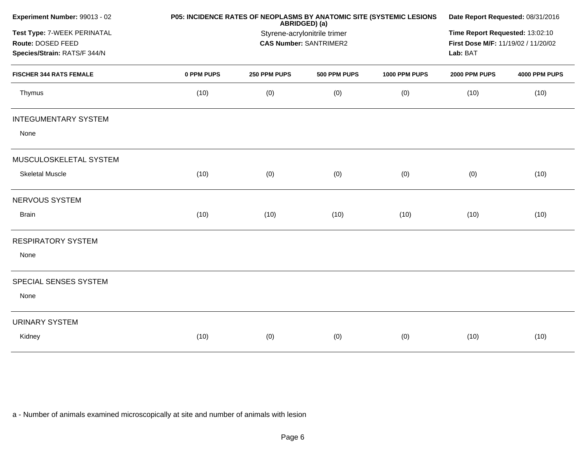|            |                                                                                    |              |                                                                                | Date Report Requested: 08/31/2016                                    |               |  |  |
|------------|------------------------------------------------------------------------------------|--------------|--------------------------------------------------------------------------------|----------------------------------------------------------------------|---------------|--|--|
|            | Time Report Requested: 13:02:10<br>First Dose M/F: 11/19/02 / 11/20/02<br>Lab: BAT |              |                                                                                |                                                                      |               |  |  |
| 0 PPM PUPS | 250 PPM PUPS                                                                       | 500 PPM PUPS | 1000 PPM PUPS                                                                  | 2000 PPM PUPS                                                        | 4000 PPM PUPS |  |  |
| (10)       | (0)                                                                                | (0)          | (0)                                                                            | (10)                                                                 | (10)          |  |  |
|            |                                                                                    |              |                                                                                |                                                                      |               |  |  |
|            |                                                                                    |              |                                                                                |                                                                      |               |  |  |
|            |                                                                                    |              |                                                                                |                                                                      |               |  |  |
| (10)       | (0)                                                                                | (0)          | (0)                                                                            | (0)                                                                  | (10)          |  |  |
|            |                                                                                    |              |                                                                                |                                                                      |               |  |  |
| (10)       | (10)                                                                               | (10)         | (10)                                                                           | (10)                                                                 | (10)          |  |  |
|            |                                                                                    |              |                                                                                |                                                                      |               |  |  |
|            |                                                                                    |              |                                                                                |                                                                      |               |  |  |
|            |                                                                                    |              |                                                                                |                                                                      |               |  |  |
|            |                                                                                    |              |                                                                                |                                                                      |               |  |  |
|            |                                                                                    |              |                                                                                |                                                                      |               |  |  |
| (10)       | (0)                                                                                | (0)          | (0)                                                                            | (10)                                                                 | (10)          |  |  |
|            |                                                                                    |              | ABRIDGED) (a)<br>Styrene-acrylonitrile trimer<br><b>CAS Number: SANTRIMER2</b> | P05: INCIDENCE RATES OF NEOPLASMS BY ANATOMIC SITE (SYSTEMIC LESIONS |               |  |  |